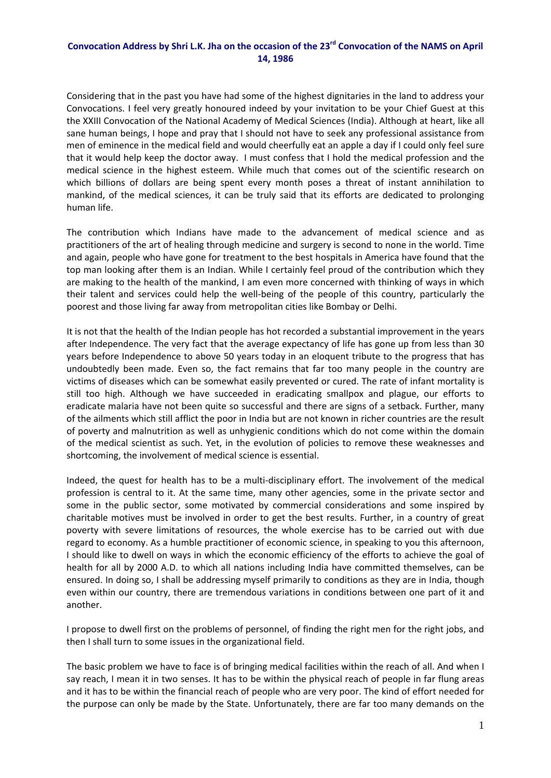## Convocation Address by Shri L.K. Jha on the occasion of the 23<sup>rd</sup> Convocation of the NAMS on April **14, 1986**

Considering that in the past you have had some of the highest dignitaries in the land to address your Convocations. I feel very greatly honoured indeed by your invitation to be your Chief Guest at this the XXIII Convocation of the National Academy of Medical Sciences (India). Although at heart, like all sane human beings, I hope and pray that I should not have to seek any professional assistance from men of eminence in the medical field and would cheerfully eat an apple a day if I could only feel sure that it would help keep the doctor away. I must confess that I hold the medical profession and the medical science in the highest esteem. While much that comes out of the scientific research on which billions of dollars are being spent every month poses a threat of instant annihilation to mankind, of the medical sciences, it can be truly said that its efforts are dedicated to prolonging human life.

The contribution which Indians have made to the advancement of medical science and as practitioners of the art of healing through medicine and surgery is second to none in the world. Time and again, people who have gone for treatment to the best hospitals in America have found that the top man looking after them is an Indian. While I certainly feel proud of the contribution which they are making to the health of the mankind, I am even more concerned with thinking of ways in which their talent and services could help the well‐being of the people of this country, particularly the poorest and those living far away from metropolitan cities like Bombay or Delhi.

It is not that the health of the Indian people has hot recorded a substantial improvement in the years after Independence. The very fact that the average expectancy of life has gone up from less than 30 years before Independence to above 50 years today in an eloquent tribute to the progress that has undoubtedly been made. Even so, the fact remains that far too many people in the country are victims of diseases which can be somewhat easily prevented or cured. The rate of infant mortality is still too high. Although we have succeeded in eradicating smallpox and plague, our efforts to eradicate malaria have not been quite so successful and there are signs of a setback. Further, many of the ailments which still afflict the poor in India but are not known in richer countries are the result of poverty and malnutrition as well as unhygienic conditions which do not come within the domain of the medical scientist as such. Yet, in the evolution of policies to remove these weaknesses and shortcoming, the involvement of medical science is essential.

Indeed, the quest for health has to be a multi‐disciplinary effort. The involvement of the medical profession is central to it. At the same time, many other agencies, some in the private sector and some in the public sector, some motivated by commercial considerations and some inspired by charitable motives must be involved in order to get the best results. Further, in a country of great poverty with severe limitations of resources, the whole exercise has to be carried out with due regard to economy. As a humble practitioner of economic science, in speaking to you this afternoon, I should like to dwell on ways in which the economic efficiency of the efforts to achieve the goal of health for all by 2000 A.D. to which all nations including India have committed themselves, can be ensured. In doing so, I shall be addressing myself primarily to conditions as they are in India, though even within our country, there are tremendous variations in conditions between one part of it and another.

I propose to dwell first on the problems of personnel, of finding the right men for the right jobs, and then I shall turn to some issues in the organizational field.

The basic problem we have to face is of bringing medical facilities within the reach of all. And when I say reach, I mean it in two senses. It has to be within the physical reach of people in far flung areas and it has to be within the financial reach of people who are very poor. The kind of effort needed for the purpose can only be made by the State. Unfortunately, there are far too many demands on the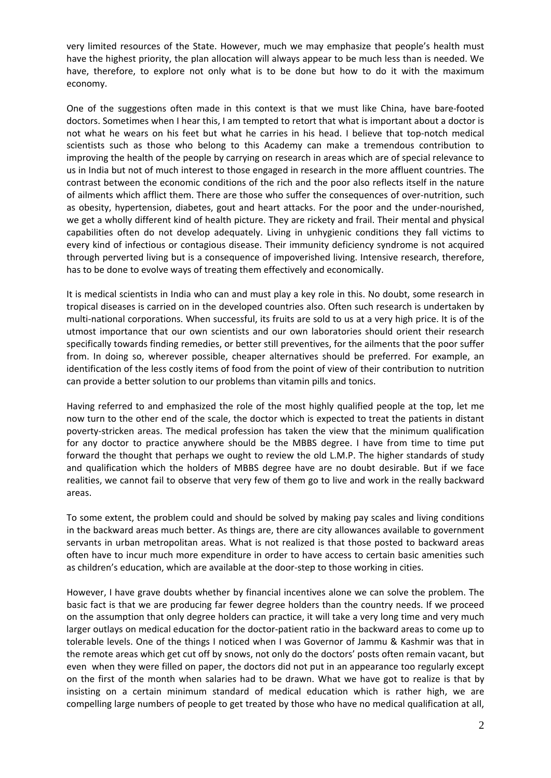very limited resources of the State. However, much we may emphasize that people's health must have the highest priority, the plan allocation will always appear to be much less than is needed. We have, therefore, to explore not only what is to be done but how to do it with the maximum economy.

One of the suggestions often made in this context is that we must like China, have bare‐footed doctors. Sometimes when I hear this, I am tempted to retort that what is important about a doctor is not what he wears on his feet but what he carries in his head. I believe that top-notch medical scientists such as those who belong to this Academy can make a tremendous contribution to improving the health of the people by carrying on research in areas which are of special relevance to us in India but not of much interest to those engaged in research in the more affluent countries. The contrast between the economic conditions of the rich and the poor also reflects itself in the nature of ailments which afflict them. There are those who suffer the consequences of over-nutrition, such as obesity, hypertension, diabetes, gout and heart attacks. For the poor and the under-nourished, we get a wholly different kind of health picture. They are rickety and frail. Their mental and physical capabilities often do not develop adequately. Living in unhygienic conditions they fall victims to every kind of infectious or contagious disease. Their immunity deficiency syndrome is not acquired through perverted living but is a consequence of impoverished living. Intensive research, therefore, has to be done to evolve ways of treating them effectively and economically.

It is medical scientists in India who can and must play a key role in this. No doubt, some research in tropical diseases is carried on in the developed countries also. Often such research is undertaken by multi-national corporations. When successful, its fruits are sold to us at a very high price. It is of the utmost importance that our own scientists and our own laboratories should orient their research specifically towards finding remedies, or better still preventives, for the ailments that the poor suffer from. In doing so, wherever possible, cheaper alternatives should be preferred. For example, an identification of the less costly items of food from the point of view of their contribution to nutrition can provide a better solution to our problems than vitamin pills and tonics.

Having referred to and emphasized the role of the most highly qualified people at the top, let me now turn to the other end of the scale, the doctor which is expected to treat the patients in distant poverty‐stricken areas. The medical profession has taken the view that the minimum qualification for any doctor to practice anywhere should be the MBBS degree. I have from time to time put forward the thought that perhaps we ought to review the old L.M.P. The higher standards of study and qualification which the holders of MBBS degree have are no doubt desirable. But if we face realities, we cannot fail to observe that very few of them go to live and work in the really backward areas.

To some extent, the problem could and should be solved by making pay scales and living conditions in the backward areas much better. As things are, there are city allowances available to government servants in urban metropolitan areas. What is not realized is that those posted to backward areas often have to incur much more expenditure in order to have access to certain basic amenities such as children's education, which are available at the door‐step to those working in cities.

However, I have grave doubts whether by financial incentives alone we can solve the problem. The basic fact is that we are producing far fewer degree holders than the country needs. If we proceed on the assumption that only degree holders can practice, it will take a very long time and very much larger outlays on medical education for the doctor-patient ratio in the backward areas to come up to tolerable levels. One of the things I noticed when I was Governor of Jammu & Kashmir was that in the remote areas which get cut off by snows, not only do the doctors' posts often remain vacant, but even when they were filled on paper, the doctors did not put in an appearance too regularly except on the first of the month when salaries had to be drawn. What we have got to realize is that by insisting on a certain minimum standard of medical education which is rather high, we are compelling large numbers of people to get treated by those who have no medical qualification at all,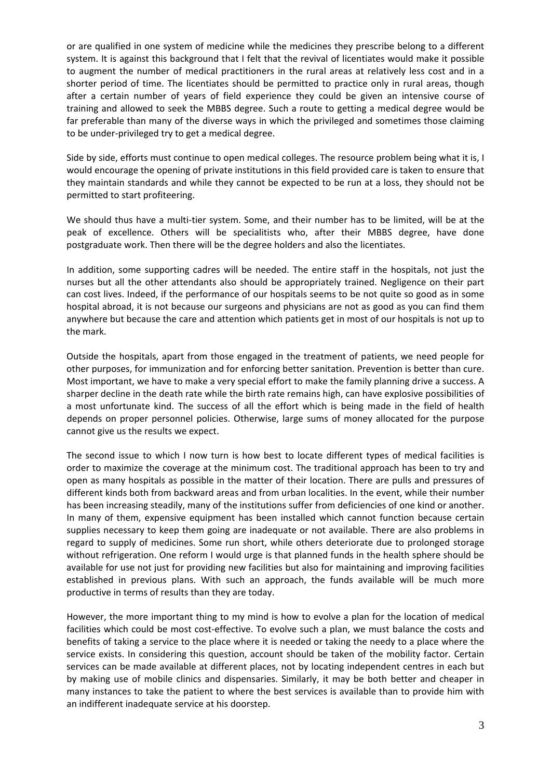or are qualified in one system of medicine while the medicines they prescribe belong to a different system. It is against this background that I felt that the revival of licentiates would make it possible to augment the number of medical practitioners in the rural areas at relatively less cost and in a shorter period of time. The licentiates should be permitted to practice only in rural areas, though after a certain number of years of field experience they could be given an intensive course of training and allowed to seek the MBBS degree. Such a route to getting a medical degree would be far preferable than many of the diverse ways in which the privileged and sometimes those claiming to be under‐privileged try to get a medical degree.

Side by side, efforts must continue to open medical colleges. The resource problem being what it is, I would encourage the opening of private institutions in this field provided care is taken to ensure that they maintain standards and while they cannot be expected to be run at a loss, they should not be permitted to start profiteering.

We should thus have a multi-tier system. Some, and their number has to be limited, will be at the peak of excellence. Others will be specialitists who, after their MBBS degree, have done postgraduate work. Then there will be the degree holders and also the licentiates.

In addition, some supporting cadres will be needed. The entire staff in the hospitals, not just the nurses but all the other attendants also should be appropriately trained. Negligence on their part can cost lives. Indeed, if the performance of our hospitals seems to be not quite so good as in some hospital abroad, it is not because our surgeons and physicians are not as good as you can find them anywhere but because the care and attention which patients get in most of our hospitals is not up to the mark.

Outside the hospitals, apart from those engaged in the treatment of patients, we need people for other purposes, for immunization and for enforcing better sanitation. Prevention is better than cure. Most important, we have to make a very special effort to make the family planning drive a success. A sharper decline in the death rate while the birth rate remains high, can have explosive possibilities of a most unfortunate kind. The success of all the effort which is being made in the field of health depends on proper personnel policies. Otherwise, large sums of money allocated for the purpose cannot give us the results we expect.

The second issue to which I now turn is how best to locate different types of medical facilities is order to maximize the coverage at the minimum cost. The traditional approach has been to try and open as many hospitals as possible in the matter of their location. There are pulls and pressures of different kinds both from backward areas and from urban localities. In the event, while their number has been increasing steadily, many of the institutions suffer from deficiencies of one kind or another. In many of them, expensive equipment has been installed which cannot function because certain supplies necessary to keep them going are inadequate or not available. There are also problems in regard to supply of medicines. Some run short, while others deteriorate due to prolonged storage without refrigeration. One reform I would urge is that planned funds in the health sphere should be available for use not just for providing new facilities but also for maintaining and improving facilities established in previous plans. With such an approach, the funds available will be much more productive in terms of results than they are today.

However, the more important thing to my mind is how to evolve a plan for the location of medical facilities which could be most cost-effective. To evolve such a plan, we must balance the costs and benefits of taking a service to the place where it is needed or taking the needy to a place where the service exists. In considering this question, account should be taken of the mobility factor. Certain services can be made available at different places, not by locating independent centres in each but by making use of mobile clinics and dispensaries. Similarly, it may be both better and cheaper in many instances to take the patient to where the best services is available than to provide him with an indifferent inadequate service at his doorstep.